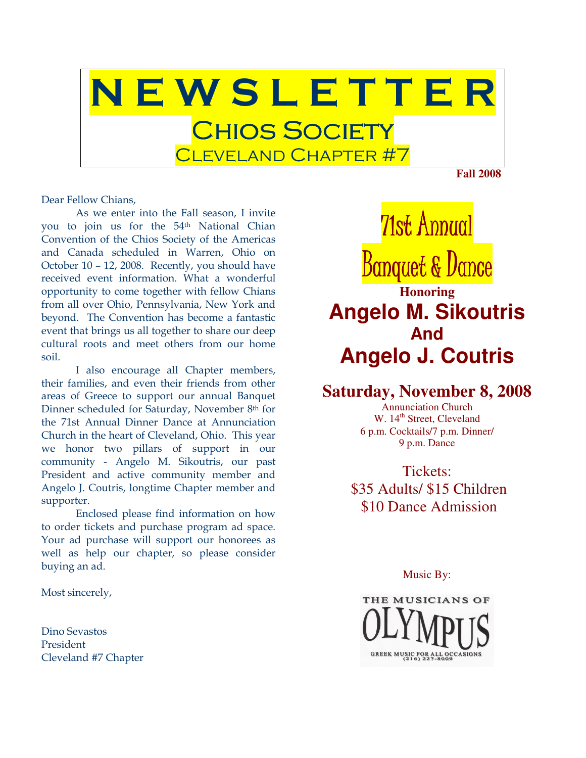

Dear Fellow Chians,

As we enter into the Fall season, I invite you to join us for the 54th National Chian Convention of the Chios Society of the Americas and Canada scheduled in Warren, Ohio on October 10 – 12, 2008. Recently, you should have received event information. What a wonderful opportunity to come together with fellow Chians from all over Ohio, Pennsylvania, New York and beyond. The Convention has become a fantastic event that brings us all together to share our deep cultural roots and meet others from our home soil.

I also encourage all Chapter members, their families, and even their friends from other areas of Greece to support our annual Banquet Dinner scheduled for Saturday, November 8th for the 71st Annual Dinner Dance at Annunciation Church in the heart of Cleveland, Ohio. This year we honor two pillars of support in our community - Angelo M. Sikoutris, our past President and active community member and Angelo J. Coutris, longtime Chapter member and supporter.

Enclosed please find information on how to order tickets and purchase program ad space. Your ad purchase will support our honorees as well as help our chapter, so please consider buying an ad.

Most sincerely,

Dino Sevastos President Cleveland #7 Chapter

71st Annual Banquet & Dance **Honoring Angelo M. Sikoutris And Angelo J. Coutris**

## **Saturday, November 8, 2008**

Annunciation Church W. 14<sup>th</sup> Street, Cleveland 6 p.m. Cocktails/7 p.m. Dinner/ 9 p.m. Dance

Tickets: \$35 Adults/ \$15 Children \$10 Dance Admission

Music By:

THE MUSICIANS OF